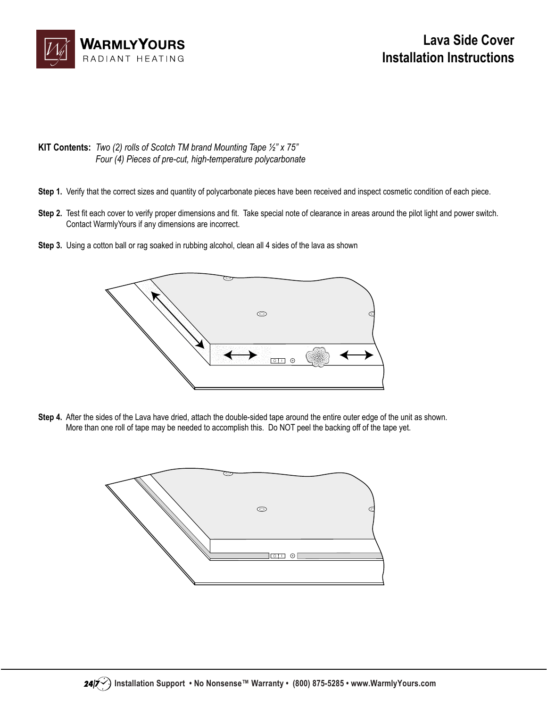

- **KIT Contents:** *Two (2) rolls of Scotch TM brand Mounting Tape ½" x 75" Four (4) Pieces of pre-cut, high-temperature polycarbonate*
- Step 1. Verify that the correct sizes and quantity of polycarbonate pieces have been received and inspect cosmetic condition of each piece.
- **Step 2.** Test fit each cover to verify proper dimensions and fit. Take special note of clearance in areas around the pilot light and power switch. Contact WarmlyYours if any dimensions are incorrect.
- **Step 3.** Using a cotton ball or rag soaked in rubbing alcohol, clean all 4 sides of the lava as shown



**Step 4.** After the sides of the Lava have dried, attach the double-sided tape around the entire outer edge of the unit as shown. More than one roll of tape may be needed to accomplish this. Do NOT peel the backing off of the tape yet.